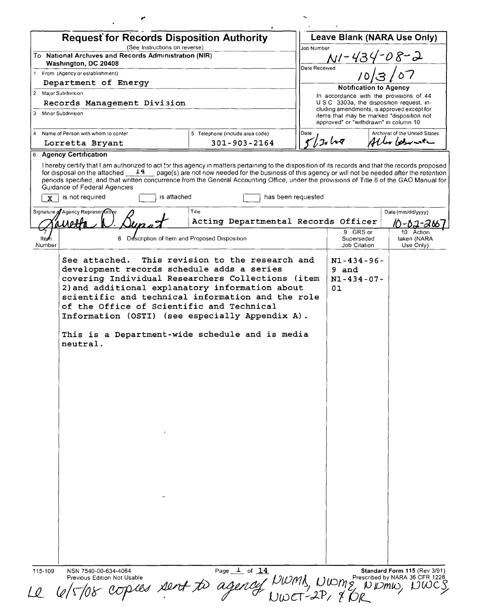|                      | <b>Request for Records Disposition Authority</b>                                                                                                                                                                                                                                                |                                                                                                                              | Leave Blank (NARA Use Only)  |                                                                                    |                               |                                                                                         |  |
|----------------------|-------------------------------------------------------------------------------------------------------------------------------------------------------------------------------------------------------------------------------------------------------------------------------------------------|------------------------------------------------------------------------------------------------------------------------------|------------------------------|------------------------------------------------------------------------------------|-------------------------------|-----------------------------------------------------------------------------------------|--|
|                      | (See Instructions on reverse)<br>To National Archives and Records Administration (NIR)                                                                                                                                                                                                          | Job Number                                                                                                                   |                              |                                                                                    |                               |                                                                                         |  |
|                      | Washington, DC 20408                                                                                                                                                                                                                                                                            |                                                                                                                              | NI-434-08-2<br>Date Received |                                                                                    |                               |                                                                                         |  |
|                      | 1 From (Agency or establishment)                                                                                                                                                                                                                                                                |                                                                                                                              |                              |                                                                                    |                               |                                                                                         |  |
|                      | Department of Energy<br>2 Major Subdivision                                                                                                                                                                                                                                                     |                                                                                                                              |                              |                                                                                    | <b>Notification to Agency</b> |                                                                                         |  |
|                      | Records Management Division                                                                                                                                                                                                                                                                     |                                                                                                                              |                              | In accordance with the provisions of 44<br>USC 3303a, the disposition request, in- |                               |                                                                                         |  |
|                      | 3 Minor Subdivision                                                                                                                                                                                                                                                                             |                                                                                                                              |                              | approved" or "withdrawn" in column 10                                              |                               | cluding amendments, is approved except for<br>items that may be marked "disposition not |  |
|                      | 4 Name of Person with whom to confer<br>Lorretta Bryant                                                                                                                                                                                                                                         | 5 Telephone (include area code)<br>301-903-2164                                                                              | Date                         | Archivist of the United States<br>5/30108<br>Aller betweeter                       |                               |                                                                                         |  |
|                      | 6 Agency Certification                                                                                                                                                                                                                                                                          |                                                                                                                              |                              |                                                                                    |                               |                                                                                         |  |
| $\mathbf{x}$         | 14<br>for disposal on the attached<br>periods specified, and that written concurrence from the General Accounting Office, under the provisions of Title 8 of the GAO Manual for<br>Guidance of Federal Agencies<br>is not required<br>Signature of Agency Representative                        | page(s) are not now needed for the business of this agency or will not be needed after the retention<br>is attached<br>Title | has been requested           |                                                                                    |                               | Date (mm/dd/yyyy)                                                                       |  |
|                      |                                                                                                                                                                                                                                                                                                 | Acting Departmental Records Officer                                                                                          |                              |                                                                                    |                               | 10-02-266                                                                               |  |
| <b>Ite</b><br>Number |                                                                                                                                                                                                                                                                                                 | 8 Description of Item and Proposed Disposition                                                                               |                              | 9 GRS or<br>Superseded<br>Job Citation                                             |                               | 10 Action<br>taken (NARA<br>Use Only)                                                   |  |
|                      | 2) and additional explanatory information about<br>scientific and technical information and the role<br>of the Office of Scientific and Technical<br>Information (OSTI) (see especially Appendix A).<br>This is a Department-wide schedule and is media<br>neutral.<br>$\sim$<br>$\mathbf{v}$ . |                                                                                                                              |                              | 01                                                                                 |                               |                                                                                         |  |
|                      |                                                                                                                                                                                                                                                                                                 |                                                                                                                              |                              |                                                                                    |                               |                                                                                         |  |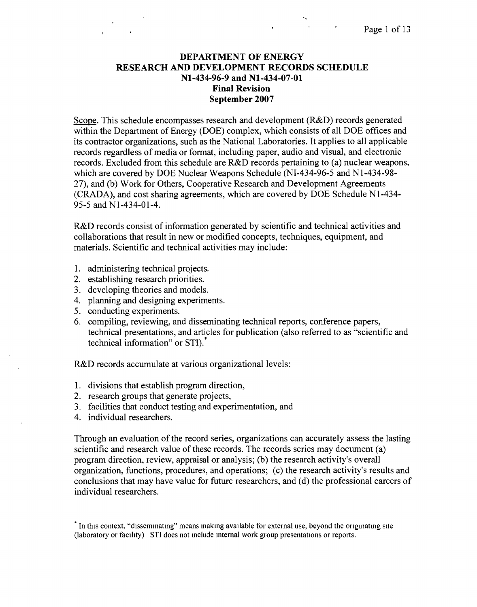## **DEPARTMENT OF ENERGY RESEARCH AND DEVELOPMENT RECORDS SCHEDULE Nl-434-96-9 and Nl-434-07-01 Final Revision September 2007**

Scope. This schedule encompasses research and development (R&D) records generated within the Department of Energy (DOE) complex, which consists of all DOE offices and its contractor organizations, such as the National Laboratories. It applies to all applicable records regardless of media or format, including paper, audio and visual, and electronic records. Excluded from this schedule are R&D records pertaining to (a) nuclear weapons, which are covered by DOE Nuclear Weapons Schedule (NI-434-96-5 and NI-434-98- 27), and (b) Work for Others, Cooperative Research and Development Agreements (CRADA), and cost sharing agreements, which are covered by DOE Schedule NI-434- 95-5 and NI-434-01-4.

R&D records consist of information generated by scientific and technical activities and collaborations that result in new or modified concepts, techniques, equipment, and materials. Scientific and technical activities may include:

- 1. administering technical projects.
- 2. establishing research priorities.
- 3. developing theories and models.
- 4. planning and designing experiments.
- 5. conducting experiments.
- 6. compiling, reviewing, and disseminating technical reports, conference papers, technical presentations, and articles for publication (also referred to as "scientific and technical information" or STI).\*

R&D records accumulate at various organizational levels:

- I. divisions that establish program direction,
- 2. research groups that generate projects,
- 3. facilities that conduct testing and experimentation, and
- 4. individual researchers.

Through an evaluation of the record series, organizations can accurately assess the lasting scientific and research value of these records. The records series may document (a) program direction, review, appraisal or analysis; (b) the research activity's overall organization, functions, procedures, and operations; (c) the research activity's results and conclusions that may have value for future researchers, and (d) the professional careers of individual researchers.

In this context, "disseminating" means making available for external use, beyond the originating site (laboratory or facility) STI does not mclude internal work group presentanons or reports.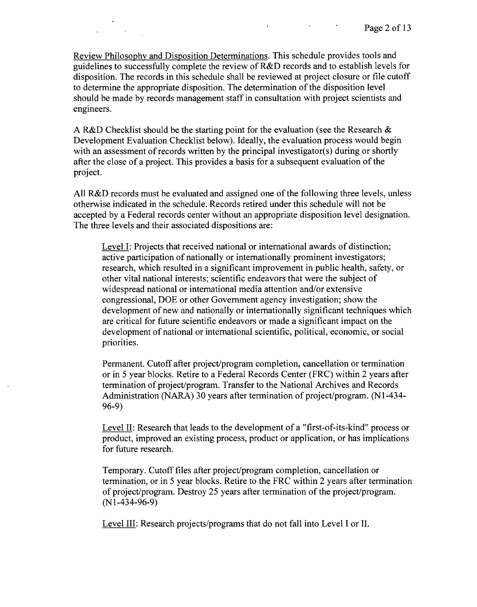Review Philosophy and Disposition Determinations. This schedule provides tools and guidelines to successfully complete the review of R&D records and to establish levels for disposition. The records in this schedule shall be reviewed at project closure or file cutoff to determine the appropriate disposition. The determination of the disposition level should be made by records management staff in consultation with project scientists and engineers.

 $\mathbf{a}$  , and  $\mathbf{a}$  , and  $\mathbf{a}$  , and  $\mathbf{a}$  , and  $\mathbf{a}$ 

A R&D Checklist should be the starting point for the evaluation (see the Research  $\&$ Development Evaluation Checklist below). Ideally, the evaluation process would begin with an assessment of records written by the principal investigator(s) during or shortly after the close of a project. This provides a basis for a subsequent evaluation of the project.

All R&D records must be evaluated and assigned one of the following three levels, unless otherwise indicated in the schedule. Records retired under this schedule will not be accepted by a Federal records center without an appropriate disposition level designation. The three levels and their associated dispositions are:

Level I: Projects that received national or international awards of distinction; active participation of nationally or internationally prominent investigators; research, which resulted in a significant improvement in public health, safety, or other vital national interests; scientific endeavors that were the subject of widespread national or international media attention and/or extensive congressional, DOE or other Government agency investigation; show the development of new and nationally or internationally significant techniques which are critical for future scientific endeavors or made a significant impact on the development of national or international scientific, political, economic, or social priorities.

Permanent. Cutoff after project/program completion, cancellation or termination or in 5 year blocks. Retire to a Federal Records Center (FRC) within 2 years after termination of project/program. Transfer to the National Archives and Records Administration (NARA) 30 years after termination of project/program. (N1-434- 96-9)

Level II: Research that leads to the development of a "first-of-its-kind" process or product, improved an existing process, product or application, or has implications for future research.

Temporary. Cutoff files after project/program completion, cancellation or termination, or in 5 year blocks. Retire to the FRC within 2 years after termination of project/program. Destroy 25 years after termination of the project/program. (N 1-434-96-9)

Level III: Research projects/programs that do not fall into Level I or II.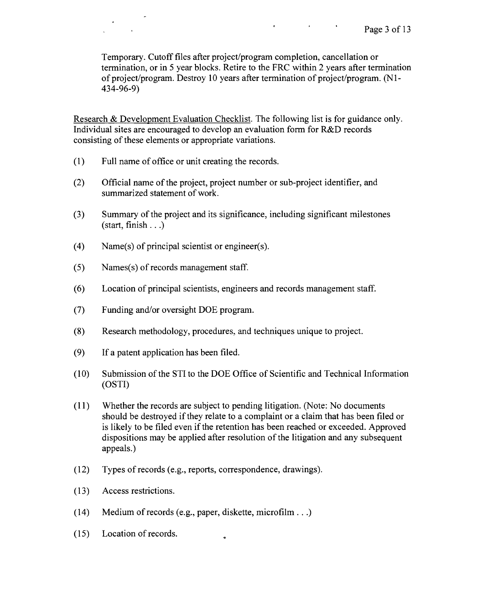Temporary. Cutoff files after project/program completion, cancellation or termination, or in 5 year blocks. Retire to the FRC within 2 years after termination of project/program. Destroy 10 years after termination of project/program. (N 1- 434-96-9)

 $\mathbf{r} = \left\{ \begin{array}{ll} 0 & \text{if} \ \mathbf{r} = \mathbf{r} \ \text{if} \ \mathbf{r} = \mathbf{r} \end{array} \right.$ 

Research & Development Evaluation Checklist. The following list is for guidance only. Individual sites are encouraged to develop an evaluation form for R&D records consisting of these elements or appropriate variations.

(1) Full name of office or unit creating the records.

 $\sim$   $\sim$ 

- (2) Official name of the project, project number or sub-project identifier, and summarized statement of work.
- (3) Summary of the project and its significance, including significant milestones (start, finish  $\ldots$ )
- $(4)$  Name(s) of principal scientist or engineer(s).
- $(5)$  Names(s) of records management staff.
- (6) Location of principal scientists, engineers and records management staff.
- (7) Funding and/or oversight DOE program.
- (8) Research methodology, procedures, and techniques unique to project.
- (9) If a patent application has been filed.
- (10) Submission of the STI to the DOE Office of Scientific and Technical Information (OST!)
- (11) Whether the records are subject to pending litigation. (Note: No documents should be destroyed if they relate to a complaint or a claim that has been filed or is likely to be filed even if the retention has been reached or exceeded. Approved dispositions may be applied after resolution of the litigation and any subsequent appeals.)
- (12) Types of records (e.g., reports, correspondence, drawings).
- (13) Access restrictions.
- (14) Medium of records (e.g., paper, diskette, microfilm ...)

÷

(15) Location of records.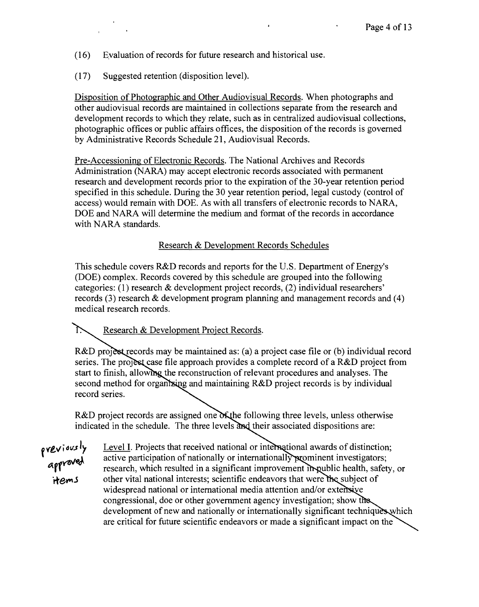- (16) Evaluation of records for future research and historical use.
- (17) Suggested retention (disposition level).

Disposition of Photographic and Other Audiovisual Records. When photographs and other audiovisual records are maintained in collections separate from the research and development records to which they relate, such as in centralized audiovisual collections, photographic offices or public affairs offices, the disposition of the records is governed by Administrative Records Schedule 21, Audiovisual Records.

Pre-Accessioning of Electronic Records. The National Archives and Records Administration (NARA) may accept electronic records associated with permanent research and development records prior to the expiration of the 30-year retention period specified in this schedule. During the 30 year retention period, legal custody (control of access) would remain with DOE. As with all transfers of electronic records to NARA, DOE and NARA will determine the medium and format of the records in accordance with NARA standards.

Research & Development Records Schedules

This schedule covers R&D records and reports for the U.S. Department of Energy's (DOE) complex. Records covered by this schedule are grouped into the following categories: (1) research & development project records, (2) individual researchers' records (3) research & development program planning and management records and (4) medical research records.

下 Research & Development Project Records.

R&D project records may be maintained as: (a) a project case file or (b) individual record series. The project case file approach provides a complete record of a R&D project from start to finish, allowing the reconstruction of relevant procedures and analyses. The second method for organizing and maintaining  $R&D$  project records is by individual record series.

R&D project records are assigned one  $\delta$  the following three levels, unless otherwise indicated in the schedule. The three levels and their associated dispositions are:

Level I. Projects that received national or international awards of distinction;<br>approved active participation of nationally or internationally prominent investigators;<br>research, which resulted in a significant improvement active participation of nationally or internationally prominent investigators; research, which resulted in a significant improvement in public health, safety, or other vital national interests; scientific endeavors that were the subject of widespread national or international media attention and/or extensive congressional, doe or other government agency investigation; show t development of new and nationally or internationally significant techniques which are critical for future scientific endeavors or made a significant impact on the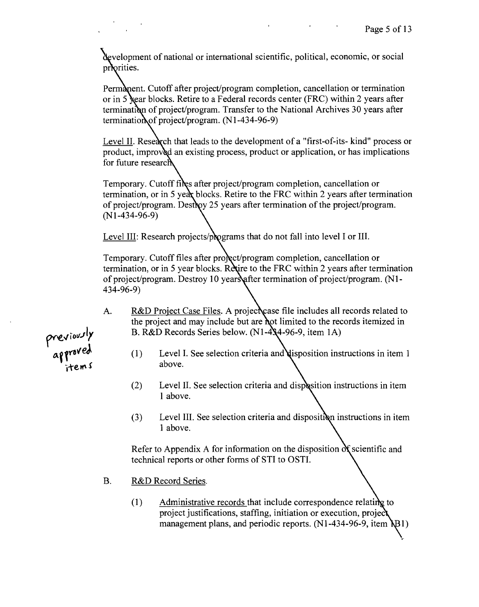development of national or international scientific, political, economic, or social priorities.

Permanent. Cutoff after project/program completion, cancellation or termination or in 5 sear blocks. Retire to a Federal records center (FRC) within 2 years after termination of project/program. Transfer to the National Archives 30 years after termination of project/program.  $(N1-434-96-9)$ 

Level II. Research that leads to the development of a "first-of-its- kind" process or product, improved an existing process, product or application, or has implications for future research

Temporary. Cutoff files after project/program completion, cancellation or termination, or in 5 year blocks. Retire to the FRC within 2 years after termination of project/program. Destroy 25 years after termination of the project/program. (N1-434-96-9)

Level III: Research projects/programs that do not fall into level I or III.

Temporary. Cutoff files after procet/program completion, cancellation or termination, or in 5 year blocks. Retire to the FRC within 2 years after termination of project/program. Destroy 10 years after termination of project/program. (N1-434-96-9)

- A. R&D Project Case Files. A project case file includes all records related to the project and may include but are not limited to the records itemized in B. R&D Records Series below.  $(N1-4)(4-96-9)$ , item 1A)
	- (1) Level I. See selection criteria and disposition instructions in item 1 above.
	- $(2)$  Level II. See selection criteria and displasition instructions in item 1 above.
	- $(3)$  Level III. See selection criteria and disposition instructions in item 1 above.

Refer to Appendix A for information on the disposition  $\delta \xi$ technical reports or other forms of STI to OSTI.

- B. R&D Record Series.
	- $(1)$  Administrative records that include correspondence relating to project justifications, staffing, initiation or execution, projec management plans, and periodic reports.  $(N1-434-96-9,$  item  $\setminus B1)$

previously<br>approved<br>items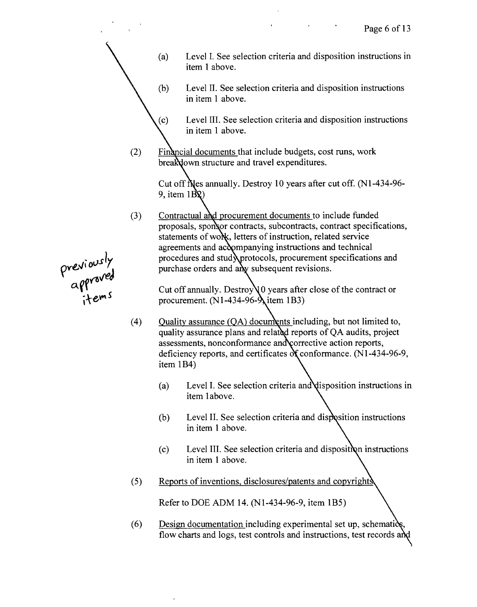(a) Level I. See selection criteria and disposition instructions in item 1 above.

**Contractor** 

- (b) Level II. See selection criteria and disposition instructions in item 1 above.
	- Level III. See selection criteria and disposition instructions in item 1 above.
- (2) Financial documents that include budgets, cost runs, work breakdown structure and travel expenditures.

 $(c)$ 

Cut off files annually. Destroy 10 years after cut off.  $(N1-434-96-$ 9, item  $1\overrightarrow{BQ}$ )

(3) Contractual and procurement documents to include funded proposals, sponsor contracts, subcontracts, contract specifications, statements of work, letters of instruction, related service agreements and accompanying instructions and technical procedures and stud protocols, procurement specifications and purchase orders and any subsequent revisions.

Cut off annually. Destroy  $\sqrt{0}$  years after close of the contract or procurement.  $(N1-434-96-\lambda)$  item 1B3)

- (4) Ouality assurance  $(QA)$  documents including, but not limited to, quality assurance plans and related reports of QA audits, project assessments, nonconformance and corrective action reports, deficiency reports, and certificates  $\alpha$  conformance. (N1-434-96-9, item IB4)
	- Level I. See selection criteria and disposition instructions in (a) item 1above.
	- (b) Level II. See selection criteria and disp in item 1 above.
	- (c) Level III. See selection criteria and dispositi in item 1 above.
- (5) Reports of inventions, disclosures/patents and copyrights

Refer to DOE ADM 14. (N1-434-96-9, item IB5)

(6) Design documentation including experimental set up, schematics, flow charts and logs, test controls and instructions, test records and

previously<br>approved<br>items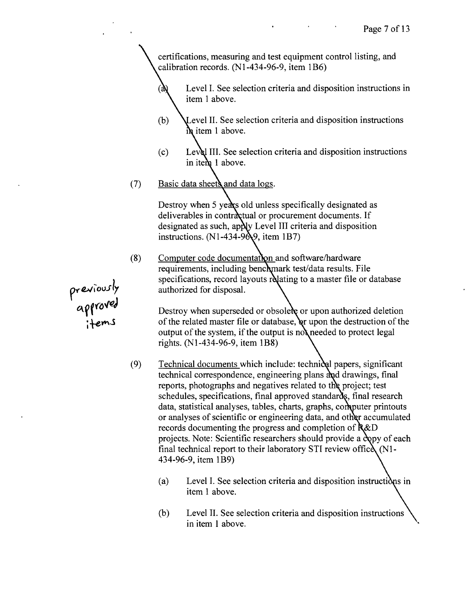certifications, measuring and test equipment control listing, and calibration records. (N1-434-96-9, item IB6)

Level I. See selection criteria and disposition instructions in item 1 above.

- (b) Level II. See selection criteria and disposition instructions  $\frac{1}{2}$  item 1 above.
- (c) Level III. See selection criteria and disposition instructions in item 1 above.
- (7) Basic data sheets and data logs.

Destroy when 5 years old unless specifically designated as deliverables in contractual or procurement documents. If designated as such, apply Level III criteria and disposition instructions.  $(N1-434-9)$ , item 1B7)

 $(8)$  Computer code documentation and software/hardware requirements, including benchmark test/data results. File specifications, record layouts relating to a master file or database authorized for disposal.

> Destroy when superseded or obsolete or upon authorized deletion of the related master file or database, or upon the destruction of the output of the system, if the output is not needed to protect legal rights. (N1-434-96-9, item IB8)

- $(9)$  Technical documents which include: technical papers, significant technical correspondence, engineering plans and drawings, final reports, photographs and negatives related to the project; test schedules, specifications, final approved standards, final research data, statistical analyses, tables, charts, graphs, computer printouts or analyses of scientific or engineering data, and other accumulated records documenting the progress and completion of  $R&D$ projects. Note: Scientific researchers should provide a copy of each final technical report to their laboratory STI review office  $(Nl-$ 434-96-9, item 1B9)
	- (a) Level I. See selection criteria and disposition instructions in item 1 above.
	- (b) Level II. See selection criteria and disposition instructions in item 1 above.

*p-ru'o\J.Jl<sup>y</sup>* approv **;+em**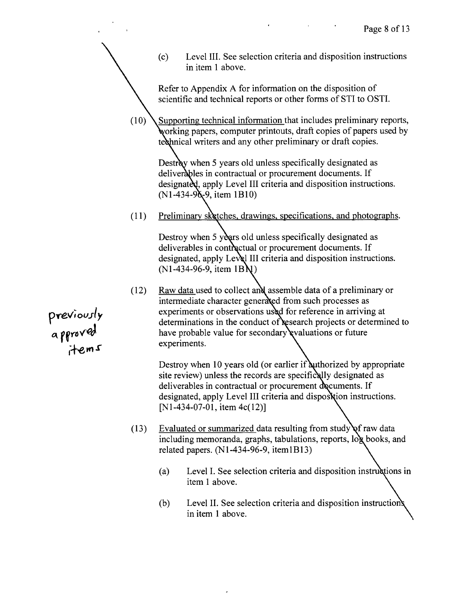|                            |      | (c) | Level III. See selection criteria and disposition instructions<br>in item 1 above.                                                                                                                                                                                                                                                           |
|----------------------------|------|-----|----------------------------------------------------------------------------------------------------------------------------------------------------------------------------------------------------------------------------------------------------------------------------------------------------------------------------------------------|
|                            |      |     | Refer to Appendix A for information on the disposition of<br>scientific and technical reports or other forms of STI to OSTI.                                                                                                                                                                                                                 |
|                            | (10) |     | Supporting technical information that includes preliminary reports,<br>working papers, computer printouts, draft copies of papers used by<br>technical writers and any other preliminary or draft copies.                                                                                                                                    |
|                            |      |     | Destroy when 5 years old unless specifically designated as<br>deliverables in contractual or procurement documents. If<br>designated, apply Level III criteria and disposition instructions.<br>$(N1-434-9\,\{-9\})$ , item 1B10)                                                                                                            |
|                            | (11) |     | Preliminary sketches, drawings, specifications, and photographs.                                                                                                                                                                                                                                                                             |
|                            |      |     | Destroy when 5 years old unless specifically designated as<br>deliverables in contractual or procurement documents. If<br>designated, apply Level III criteria and disposition instructions.<br>$(N1-434-96-9,$ item $1BN$ )                                                                                                                 |
| viously<br>vroved<br>items | (12) |     | Raw data used to collect and assemble data of a preliminary or<br>intermediate character generated from such processes as<br>experiments or observations used for reference in arriving at<br>determinations in the conduct of research projects or determined to<br>have probable value for secondary evaluations or future<br>experiments. |
|                            |      |     | Destroy when 10 years old (or earlier if authorized by appropriate<br>site review) unless the records are specifically designated as<br>deliverables in contractual or procurement documents. If<br>designated, apply Level III criteria and disposxtion instructions.<br>[N1-434-07-01, item 4c(12)]                                        |
|                            | (13) |     | Evaluated or summarized data resulting from study of raw data<br>including memoranda, graphs, tabulations, reports, log books, and<br>related papers. $(N1-434-96-9, item1B13)$                                                                                                                                                              |
|                            |      | (a) | Level I. See selection criteria and disposition instructions in<br>item 1 above.                                                                                                                                                                                                                                                             |

(b) Level II. See selection criteria and disposition instruction in item I above.

 $\omega$ 

**pre";** *OUJI* **<sup>Y</sup> {;\f fYl> veJ**

 $\label{eq:2} \frac{1}{2} \sum_{i=1}^n \frac{1}{2} \sum_{j=1}^n \frac{1}{2} \sum_{j=1}^n \frac{1}{2} \sum_{j=1}^n \frac{1}{2} \sum_{j=1}^n \frac{1}{2} \sum_{j=1}^n \frac{1}{2} \sum_{j=1}^n \frac{1}{2} \sum_{j=1}^n \frac{1}{2} \sum_{j=1}^n \frac{1}{2} \sum_{j=1}^n \frac{1}{2} \sum_{j=1}^n \frac{1}{2} \sum_{j=1}^n \frac{1}{2} \sum_{j=1}^n \frac{1}{$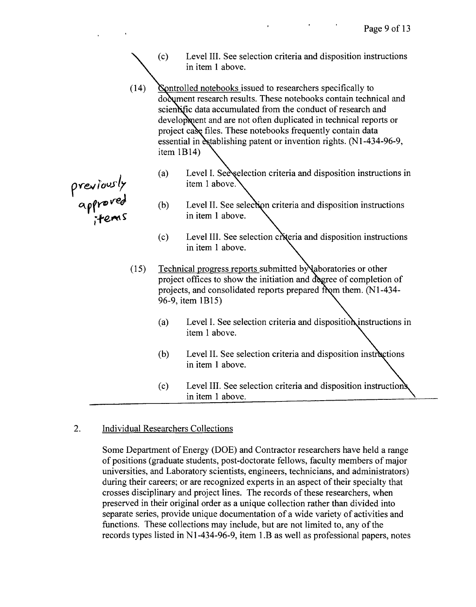- (c) Level III. See selection criteria and disposition instructions in item 1 above.
- (14) Sontrolled notebooks issued to researchers specifically to do dument research results. These notebooks contain technical and scientific data accumulated from the conduct of research and development and are not often duplicated in technical reports or project case files. These notebooks frequently contain data essential in establishing patent or invention rights. (N1-434-96-9, item 1B14)
	- (a) Level I. See selection criteria and disposition instructions in item 1 above.
- (b) Level II. See selection criteria and disposition instructions in item 1 above.  $\frac{1}{2}$ **fem S** in item 1 above.
	- $(c)$  Level III. See selection criteria and disposition instructions in item 1 above.
	- $(15)$  Technical progress reports submitted by aboratories or other project offices to show the initiation and degree of completion of projects, and consolidated reports prepared from them.  $(N1-434-$ 96-9, item IBI5)
		- (a) Level I. See selection criteria and disposition instructions in item 1 above.
		- (b) Level II. See selection criteria and disposition instructions in item 1 above.
		- (c) Level III. See selection criteria and disposition instructions in item 1 above.

## 2. Individual Researchers Collections

Some Department of Energy (DOE) and Contractor researchers have held a range of positions (graduate students, post-doctorate fellows, faculty members of major universities, and Laboratory scientists, engineers, technicians, and administrators) during their careers; or are recognized experts in an aspect of their specialty that crosses disciplinary and project lines. The records of these researchers, when preserved in their original order as a unique collection rather than divided into separate series, provide unique documentation of a wide variety of activities and functions. These collections may include, but are not limited to, any of the records types listed in NI-434-96-9, item I.B as well as professional papers, notes

**p\"e.v** *(()Vs/r*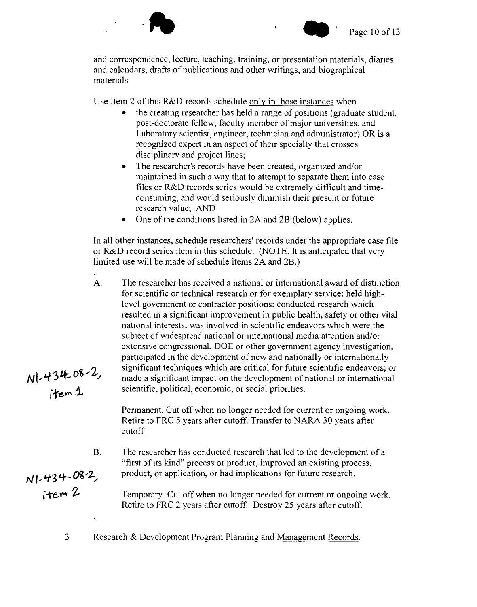

and correspondence, lecture, teaching, training, or presentation materials, diaries and calendars, drafts of publications and other writings, and biographical materials

Use Item 2 of this R&D records schedule only in those instances when

 $\cdot$  ]

- the creating researcher has held a range of positions (graduate student, post-doctorate fellow, faculty member of major universities, and Laboratory scientist, engineer, technician and administrator) OR is a recognized expert in an aspect of their specialty that crosses disciplinary and project lines;
- The researcher's records have been created, organized and/or maintained in such a way that to attempt to separate them into case files or R&D records series would be extremely difficult and timeconsuming, and would seriously diminish their present or future research value; AND
- One of the conditions listed in 2A and 2B (below) applies.

In all other instances, schedule researchers' records under the appropriate case tile or R&D record series item in this schedule. (NOTE. It is anticipated that very limited use will be made of schedule items 2A and 2B.)

A. The researcher has received a national or international award of distinction for scientific or technical research or for exemplary service; held highlevel government or contractor positions; conducted research which resulted in a significant improvement in public health, safety or other vital national interests. was involved in scientific endeavors which were the subject of widespread national or mtemational media attention and/or extensive congressional, DOE or other government agency investigation, participated in the development of new and nationally or internationally significant techniques which are critical for future scientific endeavors; or<br>*i*tem 1 scientific, political, economic, or social priorities. scientific, political, economic, or social priorities.

> Permanent. Cut off when no longer needed for current or ongoing work. Retire to FRC 5 years after cutoff. Transfer to NARA 30 years after cutoff

- B. The researcher has conducted research that led to the development of a "first of its kind" process or product, improved an existing process,
- product, or application, or had implications for future research.<br> *i* <sup>1</sup> $\cdot$  <sup>1</sup> $\cdot$  <sup>2</sup> <sup>1</sup>  $\cdot$  <sup>1</sup> $\cdot$  <sup>2</sup> <sup>1</sup>  $\cdot$  <sup>2</sup> <sup>1</sup>  $\cdot$  <sup>2</sup> <sup>1</sup>  $\cdot$  <sup>2</sup> <sup>1</sup>  $\cdot$  <sup>2</sup> <sup>1</sup>  $\cdot$  <sup>16</sup> $\cdot$  <sup>16</sup> $\cdot$  <sup>16</sup> $\cdot$  <sup>16</sup> $\cdot$  <sup>16</sup> $\cdot$  <sup>16</sup> Temporary. Cut off when no longer needed for current or ongoing work. Retire to FRC 2 years after cutoff. Destroy 25 years after cutoff.
	- 3 Research & Development Program Planning and Management Records.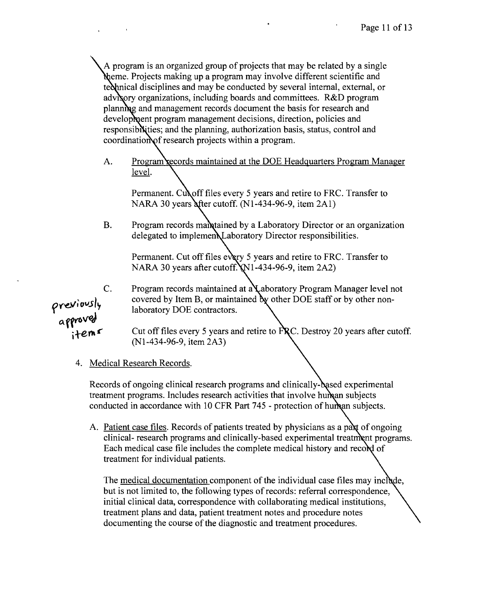A program is an organized group of projects that may be related by a single Meme. Projects making up a program may involve different scientific and te other ical disciplines and may be conducted by several internal, external, or advisory organizations, including boards and committees. R&D program planning and management records document the basis for research and development program management decisions, direction, policies and responsibi ities; and the planning, authorization basis, status, control and  $coordination of research projects within a program.$ 

A. Program records maintained at the DOE Headquarters Program Manager level.

Permanent. Cull off files every 5 years and retire to FRC. Transfer to NARA 30 years after cutoff.  $(N1-434-96-9,$  item  $2Al)$ 

B. Program records manufactured by a Laboratory Director or an organization delegated to implemen Laboratory Director responsibilities.

Permanent. Cut off files every 5 years and retire to FRC. Transfer to NARA 30 years after cutoff.  $N1-434-96-9$ , item 2A2)

C. Program records maintained at a Laboratory Program Manager level not covered by Item B, or maintained by other DOE staff or by other non-<br>*laboratory* DOE contractors.

Cut off files every 5 years and retire to FRC. Destroy 20 years after cutoff. (N1-434-96-9, item 2A3)

4. Medical Research Records.

Records of ongoing clinical research programs and clinically-based experimental treatment programs. Includes research activities that involve human subjects conducted in accordance with 10 CFR Part 745 - protection of human subjects.

A. Patient case files. Records of patients treated by physicians as a pax of ongoing clinical- research programs and clinically-based experimental treatment programs. Each medical case file includes the complete medical history and record of treatment for individual patients.

The medical documentation component of the individual case files may include, but is not limited to, the following types of records: referral correspondence, initial clinical data, correspondence with collaborating medical institutions, treatment plans and data, patient treatment notes and procedure notes documenting the course of the diagnostic and treatment procedures.

previously<br>approved<br>items: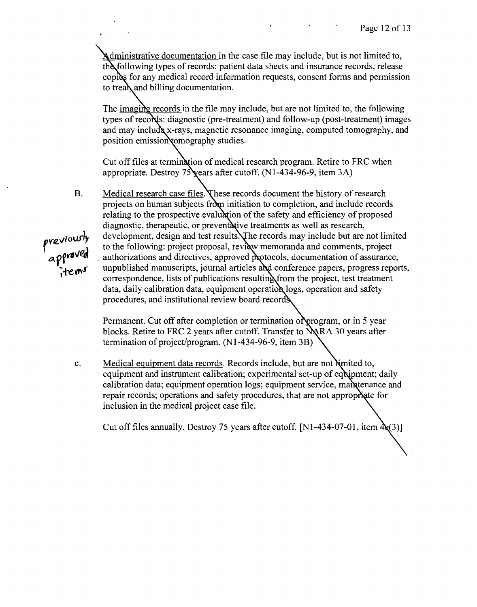dministrative documentation in the case file may include, but is not limited to, th following types of records: patient data sheets and insurance records, release copies for any medical record information requests, consent forms and permission to tread and billing documentation.

The imaging records in the file may include, but are not limited to, the following types of records: diagnostic (pre-treatment) and follow-up (post-treatment) images and may include x-rays, magnetic resonance imaging, computed tomography, and position emission comography studies.

Cut off files at termination of medical research program. Retire to FRC when appropriate. Destroy  $75\gamma$  ears after cutoff. (N1-434-96-9, item 3A)

B. Medical research case files. These records document the history of research projects on human subjects from initiation to completion, and include records relating to the prospective evaluation of the safety and efficiency of proposed diagnostic, therapeutic, or preventative treatments as well as research, development, design and test results. The records may include but are not limited to the following: project proposal, review memoranda and comments, project authorizations and directives, approved protocols, documentation of assurance, unpublished manuscripts, journal articles and conference papers, progress reports, correspondence, lists of publications resulting from the project, test treatment data, daily calibration data, equipment operation logs, operation and safety procedures, and institutional review board record

Permanent. Cut off after completion or termination of program, or in 5 year blocks. Retire to FRC 2 years after cutoff. Transfer to NARA 30 years after termination of project/program. (N1-434-96-9, item 3B)

c. Medical equipment data records. Records include, but are not limited to, equipment and instrument calibration; experimental set-up of equipment; daily calibration data; equipment operation logs; equipment service, manitenance and repair records; operations and safety procedures, that are not appropriate for inclusion in the medical project case file.

Cut off files annually. Destroy 75 years after cutoff. [N1-434-07-01, item  $\mathbf{A}_{\mathbf{S}}(3)$ ]

previously<br>approved<br>items